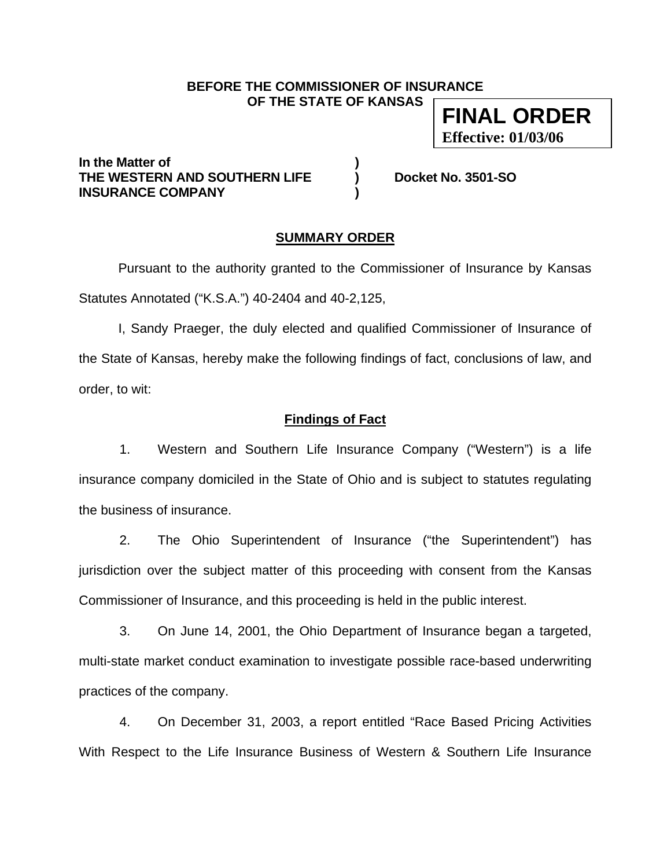### **BEFORE THE COMMISSIONER OF INSURANCE OF THE STATE OF KANSAS**

**FINAL ORDER Effective: 01/03/06**

**In the Matter of ) THE WESTERN AND SOUTHERN LIFE ) Docket No. 3501-SO INSURANCE COMPANY )** 

### **SUMMARY ORDER**

 Pursuant to the authority granted to the Commissioner of Insurance by Kansas Statutes Annotated ("K.S.A.") 40-2404 and 40-2,125,

 I, Sandy Praeger, the duly elected and qualified Commissioner of Insurance of the State of Kansas, hereby make the following findings of fact, conclusions of law, and order, to wit:

## **Findings of Fact**

1. Western and Southern Life Insurance Company ("Western") is a life insurance company domiciled in the State of Ohio and is subject to statutes regulating the business of insurance.

2. The Ohio Superintendent of Insurance ("the Superintendent") has jurisdiction over the subject matter of this proceeding with consent from the Kansas Commissioner of Insurance, and this proceeding is held in the public interest.

3. On June 14, 2001, the Ohio Department of Insurance began a targeted, multi-state market conduct examination to investigate possible race-based underwriting practices of the company.

4. On December 31, 2003, a report entitled "Race Based Pricing Activities With Respect to the Life Insurance Business of Western & Southern Life Insurance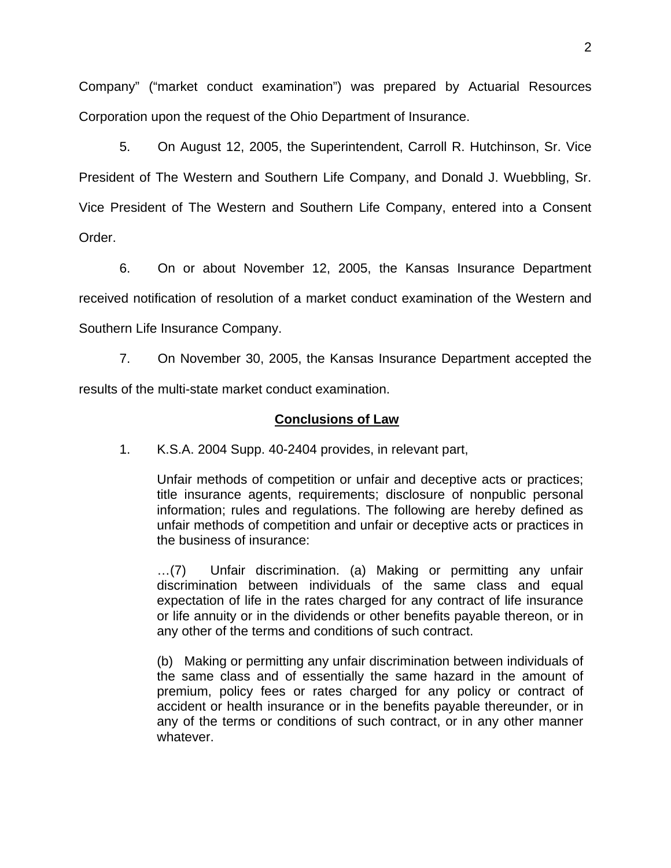Company" ("market conduct examination") was prepared by Actuarial Resources Corporation upon the request of the Ohio Department of Insurance.

5. On August 12, 2005, the Superintendent, Carroll R. Hutchinson, Sr. Vice President of The Western and Southern Life Company, and Donald J. Wuebbling, Sr. Vice President of The Western and Southern Life Company, entered into a Consent Order.

6. On or about November 12, 2005, the Kansas Insurance Department received notification of resolution of a market conduct examination of the Western and Southern Life Insurance Company.

7. On November 30, 2005, the Kansas Insurance Department accepted the results of the multi-state market conduct examination.

# **Conclusions of Law**

1. K.S.A. 2004 Supp. 40-2404 provides, in relevant part,

Unfair methods of competition or unfair and deceptive acts or practices; title insurance agents, requirements; disclosure of nonpublic personal information; rules and regulations. The following are hereby defined as unfair methods of competition and unfair or deceptive acts or practices in the business of insurance:

…(7) Unfair discrimination. (a) Making or permitting any unfair discrimination between individuals of the same class and equal expectation of life in the rates charged for any contract of life insurance or life annuity or in the dividends or other benefits payable thereon, or in any other of the terms and conditions of such contract.

(b) Making or permitting any unfair discrimination between individuals of the same class and of essentially the same hazard in the amount of premium, policy fees or rates charged for any policy or contract of accident or health insurance or in the benefits payable thereunder, or in any of the terms or conditions of such contract, or in any other manner whatever.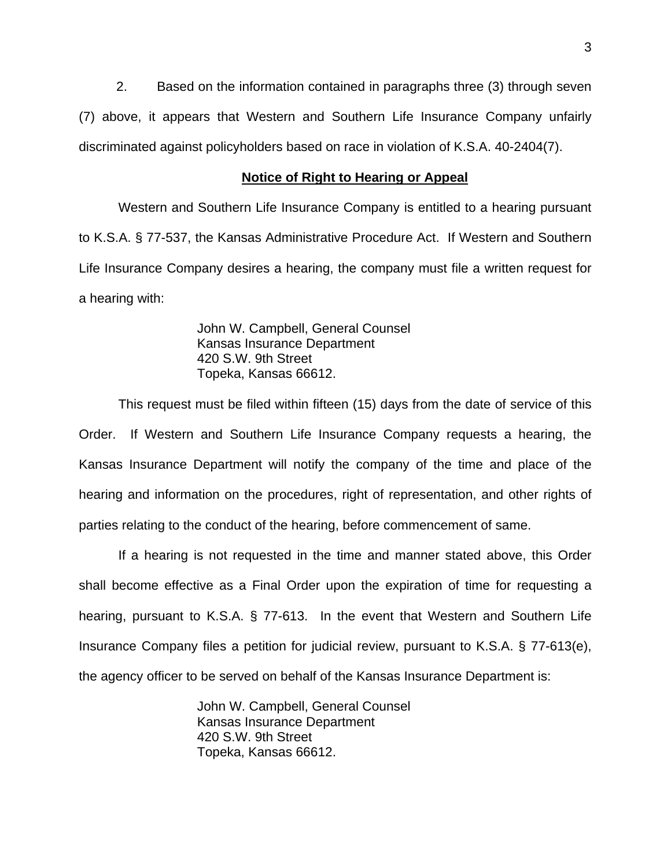2. Based on the information contained in paragraphs three (3) through seven (7) above, it appears that Western and Southern Life Insurance Company unfairly discriminated against policyholders based on race in violation of K.S.A. 40-2404(7).

#### **Notice of Right to Hearing or Appeal**

Western and Southern Life Insurance Company is entitled to a hearing pursuant to K.S.A. § 77-537, the Kansas Administrative Procedure Act. If Western and Southern Life Insurance Company desires a hearing, the company must file a written request for a hearing with:

> John W. Campbell, General Counsel Kansas Insurance Department 420 S.W. 9th Street Topeka, Kansas 66612.

This request must be filed within fifteen (15) days from the date of service of this Order. If Western and Southern Life Insurance Company requests a hearing, the Kansas Insurance Department will notify the company of the time and place of the hearing and information on the procedures, right of representation, and other rights of parties relating to the conduct of the hearing, before commencement of same.

If a hearing is not requested in the time and manner stated above, this Order shall become effective as a Final Order upon the expiration of time for requesting a hearing, pursuant to K.S.A. § 77-613. In the event that Western and Southern Life Insurance Company files a petition for judicial review, pursuant to K.S.A. § 77-613(e), the agency officer to be served on behalf of the Kansas Insurance Department is:

> John W. Campbell, General Counsel Kansas Insurance Department 420 S.W. 9th Street Topeka, Kansas 66612.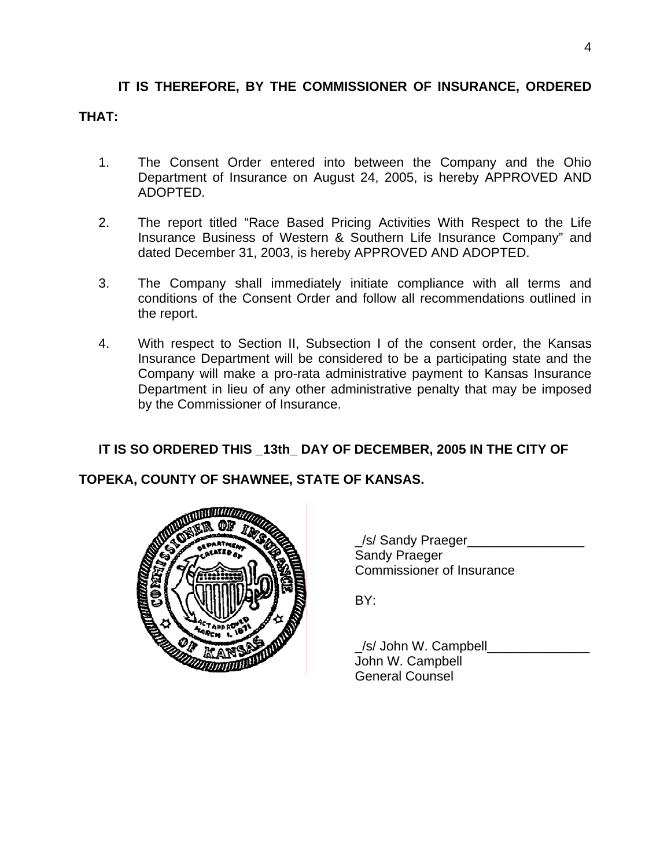# **IT IS THEREFORE, BY THE COMMISSIONER OF INSURANCE, ORDERED THAT:**

- 1. The Consent Order entered into between the Company and the Ohio Department of Insurance on August 24, 2005, is hereby APPROVED AND ADOPTED.
- 2. The report titled "Race Based Pricing Activities With Respect to the Life Insurance Business of Western & Southern Life Insurance Company" and dated December 31, 2003, is hereby APPROVED AND ADOPTED.
- 3. The Company shall immediately initiate compliance with all terms and conditions of the Consent Order and follow all recommendations outlined in the report.
- 4. With respect to Section II, Subsection I of the consent order, the Kansas Insurance Department will be considered to be a participating state and the Company will make a pro-rata administrative payment to Kansas Insurance Department in lieu of any other administrative penalty that may be imposed by the Commissioner of Insurance.

# **IT IS SO ORDERED THIS \_13th\_ DAY OF DECEMBER, 2005 IN THE CITY OF**

# **TOPEKA, COUNTY OF SHAWNEE, STATE OF KANSAS.**



 \_/s/ Sandy Praeger\_\_\_\_\_\_\_\_\_\_\_\_\_\_\_\_ Sandy Praeger Commissioner of Insurance

BY:

 \_/s/ John W. Campbell\_\_\_\_\_\_\_\_\_\_\_\_\_\_ John W. Campbell General Counsel